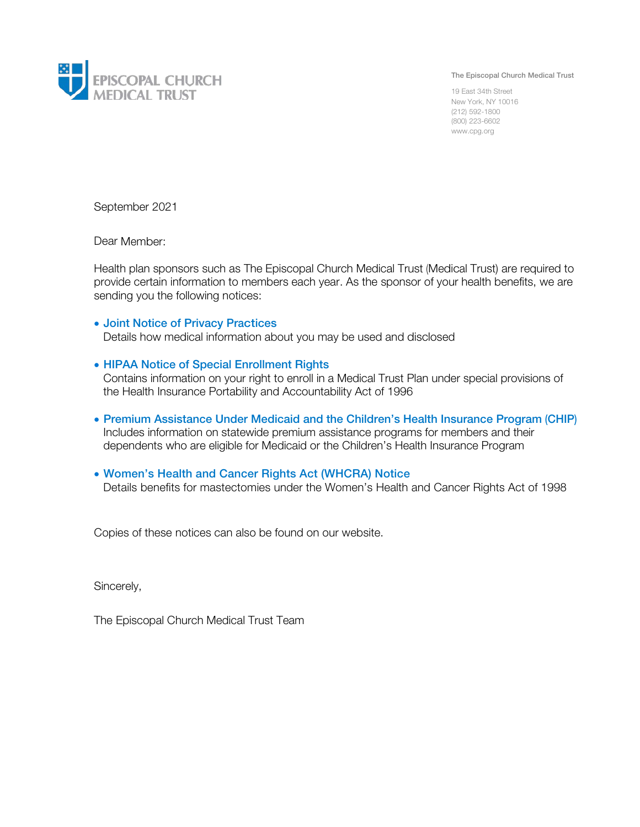

The Episcopal Church Medical Trust

19 East 34th Street New York, NY 10016 (212) 592-1800 (800) 223-6602 www.cpg.org

September 2021

Dear Member:

Health plan sponsors such as The Episcopal Church Medical Trust (Medical Trust) are required to provide certain information to members each year. As the sponsor of your health benefits, we are sending you the following notices:

## • Joint Notice of Privacy Practices

Details how medical information about you may be used and disclosed

## • HIPAA Notice of Special Enrollment Rights

Contains information on your right to enroll in a Medical Trust Plan under special provisions of the Health Insurance Portability and Accountability Act of 1996

• Premium Assistance Under Medicaid and the Children's Health Insurance Program (CHIP) Includes information on statewide premium assistance programs for members and their dependents who are eligible for Medicaid or the Children's Health Insurance Program

## • Women's Health and Cancer Rights Act (WHCRA) Notice

Details benefits for mastectomies under the Women's Health and Cancer Rights Act of 1998

Copies of these notices can also be found on our website.

Sincerely,

The Episcopal Church Medical Trust Team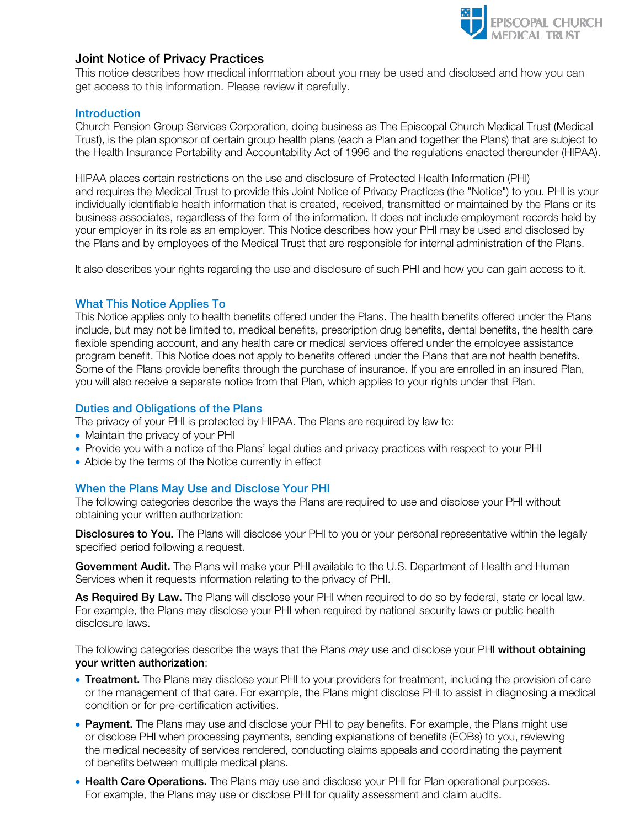

# Joint Notice of Privacy Practices

This notice describes how medical information about you may be used and disclosed and how you can get access to this information. Please review it carefully.

#### **Introduction**

Church Pension Group Services Corporation, doing business as The Episcopal Church Medical Trust (Medical Trust), is the plan sponsor of certain group health plans (each a Plan and together the Plans) that are subject to the Health Insurance Portability and Accountability Act of 1996 and the regulations enacted thereunder (HIPAA).

HIPAA places certain restrictions on the use and disclosure of Protected Health Information (PHI) and requires the Medical Trust to provide this Joint Notice of Privacy Practices (the "Notice") to you. PHI is your individually identifiable health information that is created, received, transmitted or maintained by the Plans or its business associates, regardless of the form of the information. It does not include employment records held by your employer in its role as an employer. This Notice describes how your PHI may be used and disclosed by the Plans and by employees of the Medical Trust that are responsible for internal administration of the Plans.

It also describes your rights regarding the use and disclosure of such PHI and how you can gain access to it.

#### What This Notice Applies To

This Notice applies only to health benefits offered under the Plans. The health benefits offered under the Plans include, but may not be limited to, medical benefits, prescription drug benefits, dental benefits, the health care flexible spending account, and any health care or medical services offered under the employee assistance program benefit. This Notice does not apply to benefits offered under the Plans that are not health benefits. Some of the Plans provide benefits through the purchase of insurance. If you are enrolled in an insured Plan, you will also receive a separate notice from that Plan, which applies to your rights under that Plan.

#### Duties and Obligations of the Plans

The privacy of your PHI is protected by HIPAA. The Plans are required by law to:

- Maintain the privacy of your PHI
- Provide you with a notice of the Plans' legal duties and privacy practices with respect to your PHI
- Abide by the terms of the Notice currently in effect

#### When the Plans May Use and Disclose Your PHI

The following categories describe the ways the Plans are required to use and disclose your PHI without obtaining your written authorization:

Disclosures to You. The Plans will disclose your PHI to you or your personal representative within the legally specified period following a request.

Government Audit. The Plans will make your PHI available to the U.S. Department of Health and Human Services when it requests information relating to the privacy of PHI.

As Required By Law. The Plans will disclose your PHI when required to do so by federal, state or local law. For example, the Plans may disclose your PHI when required by national security laws or public health disclosure laws.

The following categories describe the ways that the Plans *may* use and disclose your PHI without obtaining your written authorization:

- Treatment. The Plans may disclose your PHI to your providers for treatment, including the provision of care or the management of that care. For example, the Plans might disclose PHI to assist in diagnosing a medical condition or for pre-certification activities.
- Payment. The Plans may use and disclose your PHI to pay benefits. For example, the Plans might use or disclose PHI when processing payments, sending explanations of benefits (EOBs) to you, reviewing the medical necessity of services rendered, conducting claims appeals and coordinating the payment of benefits between multiple medical plans.
- Health Care Operations. The Plans may use and disclose your PHI for Plan operational purposes. For example, the Plans may use or disclose PHI for quality assessment and claim audits.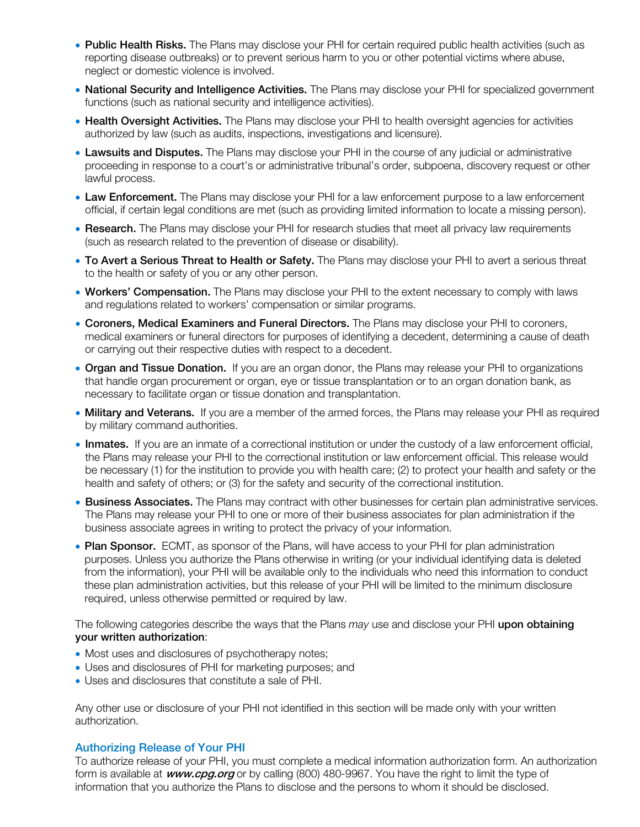- Public Health Risks. The Plans may disclose your PHI for certain required public health activities (such as reporting disease outbreaks) or to prevent serious harm to you or other potential victims where abuse, neglect or domestic violence is involved.
- National Security and Intelligence Activities. The Plans may disclose your PHI for specialized government functions (such as national security and intelligence activities).
- Health Oversight Activities. The Plans may disclose your PHI to health oversight agencies for activities authorized by law (such as audits, inspections, investigations and licensure).
- Lawsuits and Disputes. The Plans may disclose your PHI in the course of any judicial or administrative proceeding in response to a court's or administrative tribunal's order, subpoena, discovery request or other lawful process.
- Law Enforcement. The Plans may disclose your PHI for a law enforcement purpose to a law enforcement official, if certain legal conditions are met (such as providing limited information to locate a missing person).
- Research. The Plans may disclose your PHI for research studies that meet all privacy law requirements (such as research related to the prevention of disease or disability).
- To Avert a Serious Threat to Health or Safety. The Plans may disclose your PHI to avert a serious threat to the health or safety of you or any other person.
- Workers' Compensation. The Plans may disclose your PHI to the extent necessary to comply with laws and regulations related to workers' compensation or similar programs.
- Coroners, Medical Examiners and Funeral Directors. The Plans may disclose your PHI to coroners, medical examiners or funeral directors for purposes of identifying a decedent, determining a cause of death or carrying out their respective duties with respect to a decedent.
- Organ and Tissue Donation. If you are an organ donor, the Plans may release your PHI to organizations that handle organ procurement or organ, eye or tissue transplantation or to an organ donation bank, as necessary to facilitate organ or tissue donation and transplantation.
- Military and Veterans. If you are a member of the armed forces, the Plans may release your PHI as required by military command authorities.
- Inmates. If you are an inmate of a correctional institution or under the custody of a law enforcement official, the Plans may release your PHI to the correctional institution or law enforcement official. This release would be necessary (1) for the institution to provide you with health care; (2) to protect your health and safety or the health and safety of others; or (3) for the safety and security of the correctional institution.
- Business Associates. The Plans may contract with other businesses for certain plan administrative services. The Plans may release your PHI to one or more of their business associates for plan administration if the business associate agrees in writing to protect the privacy of your information.
- Plan Sponsor. ECMT, as sponsor of the Plans, will have access to your PHI for plan administration purposes. Unless you authorize the Plans otherwise in writing (or your individual identifying data is deleted from the information), your PHI will be available only to the individuals who need this information to conduct these plan administration activities, but this release of your PHI will be limited to the minimum disclosure required, unless otherwise permitted or required by law.

The following categories describe the ways that the Plans *may* use and disclose your PHI upon obtaining your written authorization:

- Most uses and disclosures of psychotherapy notes;
- Uses and disclosures of PHI for marketing purposes; and
- Uses and disclosures that constitute a sale of PHI.

Any other use or disclosure of your PHI not identified in this section will be made only with your written authorization.

#### Authorizing Release of Your PHI

To authorize release of your PHI, you must complete a medical information authorization form. An authorization form is available at *www.cpg.org* or by calling (800) 480-9967. You have the right to limit the type of information that you authorize the Plans to disclose and the persons to whom it should be disclosed.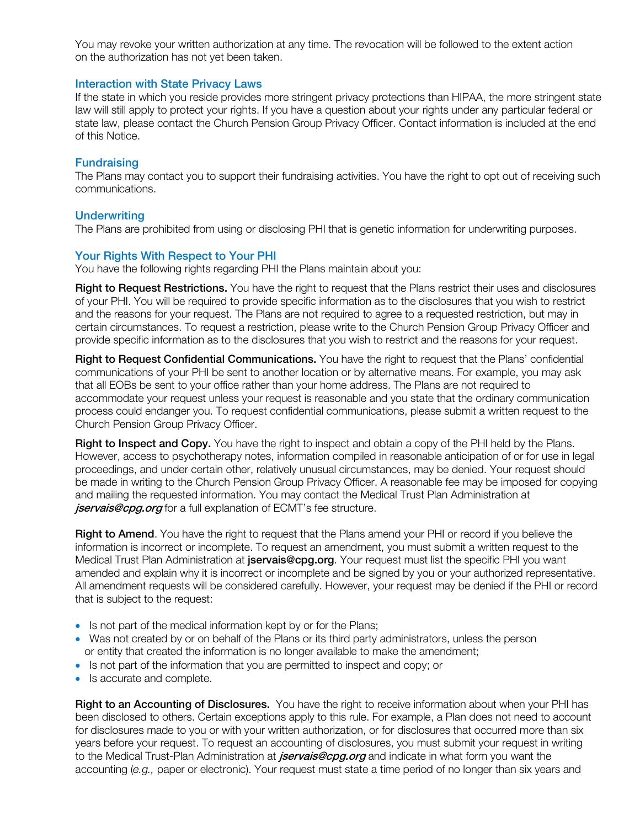You may revoke your written authorization at any time. The revocation will be followed to the extent action on the authorization has not yet been taken.

#### Interaction with State Privacy Laws

If the state in which you reside provides more stringent privacy protections than HIPAA, the more stringent state law will still apply to protect your rights. If you have a question about your rights under any particular federal or state law, please contact the Church Pension Group Privacy Officer. Contact information is included at the end of this Notice.

## **Fundraising**

The Plans may contact you to support their fundraising activities. You have the right to opt out of receiving such communications.

## **Underwriting**

The Plans are prohibited from using or disclosing PHI that is genetic information for underwriting purposes.

#### Your Rights With Respect to Your PHI

You have the following rights regarding PHI the Plans maintain about you:

Right to Request Restrictions. You have the right to request that the Plans restrict their uses and disclosures of your PHI. You will be required to provide specific information as to the disclosures that you wish to restrict and the reasons for your request. The Plans are not required to agree to a requested restriction, but may in certain circumstances. To request a restriction, please write to the Church Pension Group Privacy Officer and provide specific information as to the disclosures that you wish to restrict and the reasons for your request.

Right to Request Confidential Communications. You have the right to request that the Plans' confidential communications of your PHI be sent to another location or by alternative means. For example, you may ask that all EOBs be sent to your office rather than your home address. The Plans are not required to accommodate your request unless your request is reasonable and you state that the ordinary communication process could endanger you. To request confidential communications, please submit a written request to the Church Pension Group Privacy Officer.

Right to Inspect and Copy. You have the right to inspect and obtain a copy of the PHI held by the Plans. However, access to psychotherapy notes, information compiled in reasonable anticipation of or for use in legal proceedings, and under certain other, relatively unusual circumstances, may be denied. Your request should be made in writing to the Church Pension Group Privacy Officer. A reasonable fee may be imposed for copying and mailing the requested information. You may contact the Medical Trust Plan Administration at jservais@cpg.org for a full explanation of ECMT's fee structure.

Right to Amend. You have the right to request that the Plans amend your PHI or record if you believe the information is incorrect or incomplete. To request an amendment, you must submit a written request to the Medical Trust Plan Administration at jservais@cpg.org. Your request must list the specific PHI you want amended and explain why it is incorrect or incomplete and be signed by you or your authorized representative. All amendment requests will be considered carefully. However, your request may be denied if the PHI or record that is subject to the request:

- Is not part of the medical information kept by or for the Plans;
- Was not created by or on behalf of the Plans or its third party administrators, unless the person or entity that created the information is no longer available to make the amendment;
- Is not part of the information that you are permitted to inspect and copy; or
- Is accurate and complete.

Right to an Accounting of Disclosures. You have the right to receive information about when your PHI has been disclosed to others. Certain exceptions apply to this rule. For example, a Plan does not need to account for disclosures made to you or with your written authorization, or for disclosures that occurred more than six years before your request. To request an accounting of disclosures, you must submit your request in writing to the Medical Trust-Plan Administration at *jservais@cpg.org* and indicate in what form you want the accounting (*e.g.,* paper or electronic). Your request must state a time period of no longer than six years and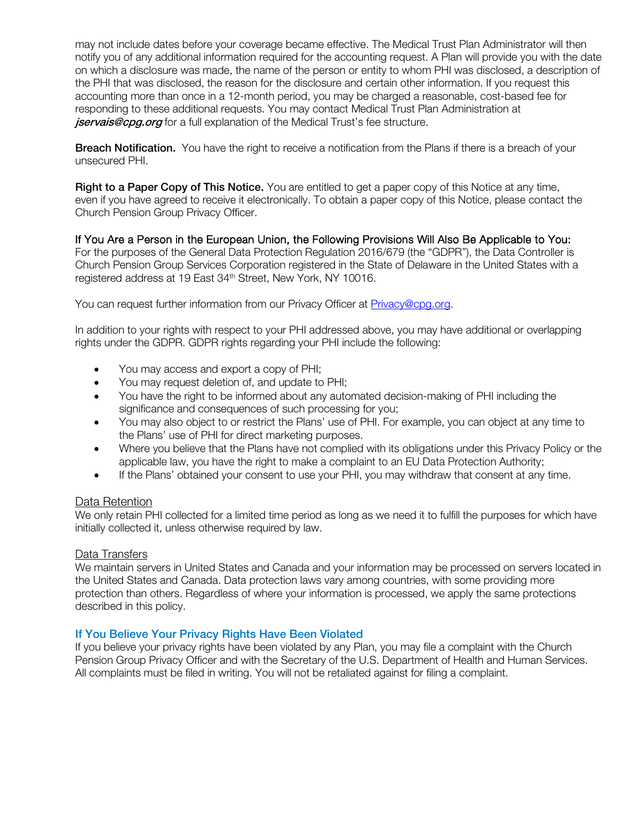may not include dates before your coverage became effective. The Medical Trust Plan Administrator will then notify you of any additional information required for the accounting request. A Plan will provide you with the date on which a disclosure was made, the name of the person or entity to whom PHI was disclosed, a description of the PHI that was disclosed, the reason for the disclosure and certain other information. If you request this accounting more than once in a 12-month period, you may be charged a reasonable, cost-based fee for responding to these additional requests. You may contact Medical [Trust Plan A](mailto:astill@cpg.org)dministration at jservais@cpg.org for a full explanation of the Medical Trust's fee structure.

**Breach Notification.** You have the right to receive a notification from the Plans if there is a breach of your unsecured PHI.

**Right to a Paper Copy of This Notice.** You are entitled to get a paper copy of this Notice at any time, even if you have agreed to receive it electronically. To obtain a paper copy of this Notice, please contact the Church Pension Group Privacy Officer.

If You Are a Person in the European Union, the Following Provisions Will Also Be Applicable to You: For the purposes of the General Data Protection Regulation 2016/679 (the "GDPR"), the Data Controller is Church Pension Group Services Corporation registered in the State of Delaware in the United States with a registered address at 19 East 34<sup>th</sup> Street, New York, NY 10016.

You can request further information from our Privacy Officer at [Privacy@cpg.org.](mailto:Privacy@cpg.org)

In addition to your rights with respect to your PHI addressed above, you may have additional or overlapping rights under the GDPR. GDPR rights regarding your PHI include the following:

- You may access and export a copy of PHI;
- You may request deletion of, and update to PHI;
- You have the right to be informed about any automated decision-making of PHI including the significance and consequences of such processing for you;
- You may also object to or restrict the Plans' use of PHI. For example, you can object at any time to the Plans' use of PHI for direct marketing purposes.
- Where you believe that the Plans have not complied with its obligations under this Privacy Policy or the applicable law, you have the right to make a complaint to an EU Data Protection Authority;
- If the Plans' obtained your consent to use your PHI, you may withdraw that consent at any time.

#### Data Retention

We only retain PHI collected for a limited time period as long as we need it to fulfill the purposes for which have initially collected it, unless otherwise required by law.

#### Data Transfers

We maintain servers in United States and Canada and your information may be processed on servers located in the United States and Canada. Data protection laws vary among countries, with some providing more protection than others. Regardless of where your information is processed, we apply the same protections described in this policy.

## If You Believe Your Privacy Rights Have Been Violated

If you believe your privacy rights have been violated by any Plan, you may file a complaint with the Church Pension Group Privacy Officer and with the Secretary of the U.S. Department of Health and Human Services. All complaints must be filed in writing. You will not be retaliated against for filing a complaint.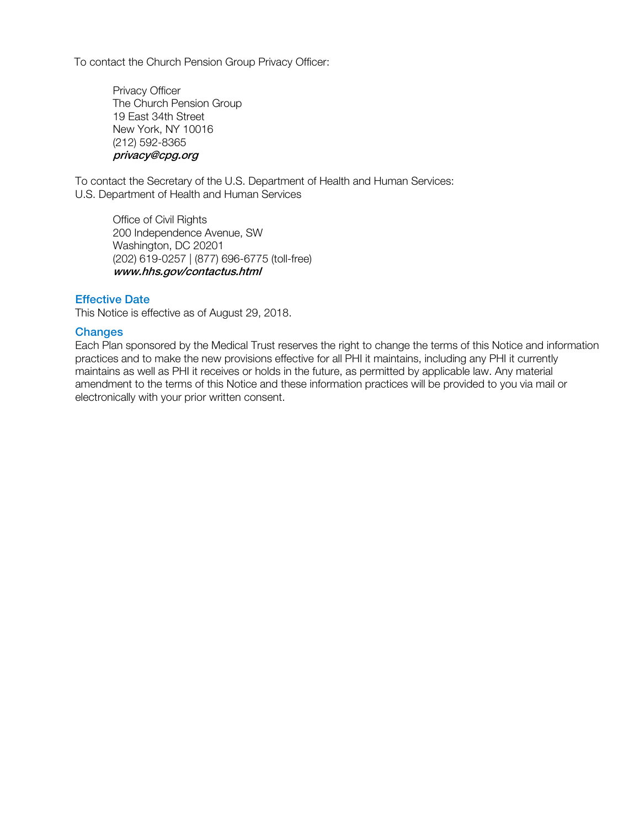To contact the Church Pension Group Privacy Officer:

Privacy Officer The Church Pension Group 19 East 34th Street New York, NY 10016 (212) 592-8365 privacy@cpg.org

To contact the Secretary of the U.S. Department of Health and Human Services: U.S. Department of Health and Human Services

Office of Civil Rights 200 Independence Avenue, SW Washington, DC 20201 (202) 619-0257 | (877) 696-6775 (toll-free) www.hhs.gov/contactus.html

### Effective Date

This Notice is effective as of August 29, 2018.

#### **Changes**

Each Plan sponsored by the Medical Trust reserves the right to change the terms of this Notice and information practices and to make the new provisions effective for all PHI it maintains, including any PHI it currently maintains as well as PHI it receives or holds in the future, as permitted by applicable law. Any material amendment to the terms of this Notice and these information practices will be provided to you via mail or electronically with your prior written consent.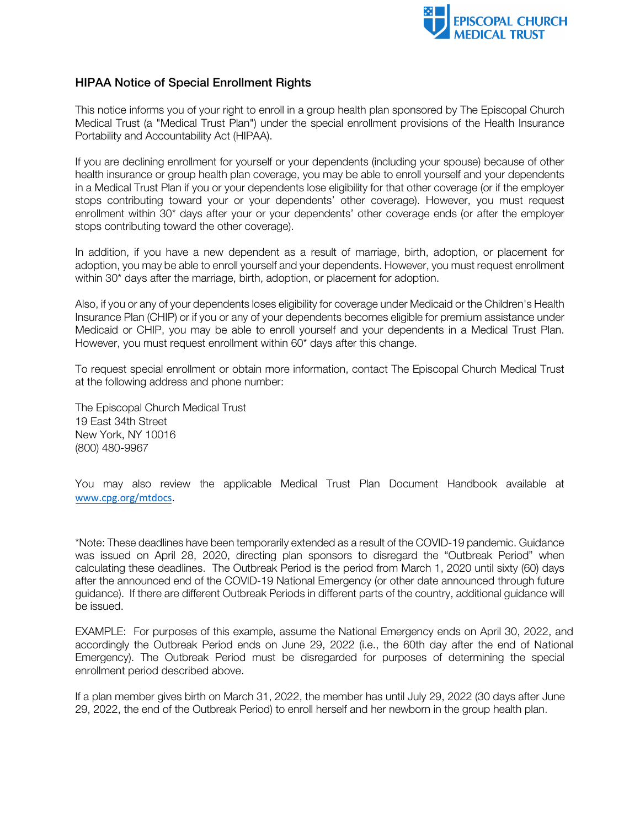

# HIPAA Notice of Special Enrollment Rights

This notice informs you of your right to enroll in a group health plan sponsored by The Episcopal Church Medical Trust (a "Medical Trust Plan") under the special enrollment provisions of the Health Insurance Portability and Accountability Act (HIPAA).

If you are declining enrollment for yourself or your dependents (including your spouse) because of other health insurance or group health plan coverage, you may be able to enroll yourself and your dependents in a Medical Trust Plan if you or your dependents lose eligibility for that other coverage (or if the employer stops contributing toward your or your dependents' other coverage). However, you must request enrollment within 30\* days after your or your dependents' other coverage ends (or after the employer stops contributing toward the other coverage).

In addition, if you have a new dependent as a result of marriage, birth, adoption, or placement for adoption, you may be able to enroll yourself and your dependents. However, you must request enrollment within 30\* days after the marriage, birth, adoption, or placement for adoption.

Also, if you or any of your dependents loses eligibility for coverage under Medicaid or the Children's Health Insurance Plan (CHIP) or if you or any of your dependents becomes eligible for premium assistance under Medicaid or CHIP, you may be able to enroll yourself and your dependents in a Medical Trust Plan. However, you must request enrollment within 60\* days after this change.

To request special enrollment or obtain more information, contact The Episcopal Church Medical Trust at the following address and phone number:

The Episcopal Church Medical Trust 19 East 34th Street New York, NY 10016 (800) 480-9967

You may also review the applicable Medical Trust Plan Document Handbook available at [www.cpg.org/mtdocs](http://www.cpg.org/mtdocs).

\*Note: These deadlines have been temporarily extended as a result of the COVID-19 pandemic. Guidance was issued on April 28, 2020, directing plan sponsors to disregard the "Outbreak Period" when calculating these deadlines. The Outbreak Period is the period from March 1, 2020 until sixty (60) days after the announced end of the COVID-19 National Emergency (or other date announced through future guidance). If there are different Outbreak Periods in different parts of the country, additional guidance will be issued.

EXAMPLE: For purposes of this example, assume the National Emergency ends on April 30, 2022, and accordingly the Outbreak Period ends on June 29, 2022 (i.e., the 60th day after the end of National Emergency). The Outbreak Period must be disregarded for purposes of determining the special enrollment period described above.

If a plan member gives birth on March 31, 2022, the member has until July 29, 2022 (30 days after June 29, 2022, the end of the Outbreak Period) to enroll herself and her newborn in the group health plan.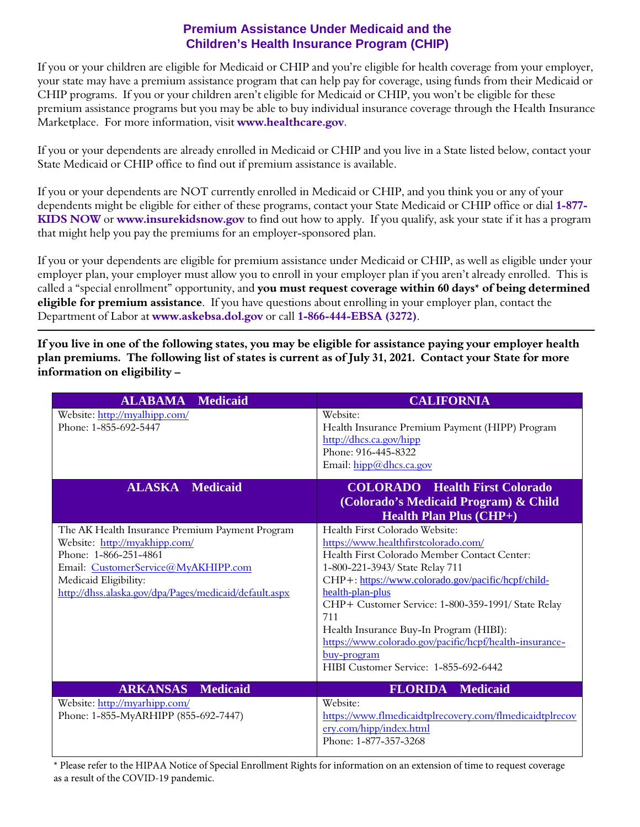# **Premium Assistance Under Medicaid and the Children's Health Insurance Program (CHIP)**

 If you or your children are eligible for Medicaid or CHIP and you're eligible for health coverage from your employer, your state may have a premium assistance program that can help pay for coverage, using funds from their Medicaid or CHIP programs. If you or your children aren't eligible for Medicaid or CHIP, you won't be eligible for these premium assistance programs but you may be able to buy individual insurance coverage through the Health Insurance Marketplace. For more information, visit **www.healthcare.gov**.

 If you or your dependents are already enrolled in Medicaid or CHIP and you live in a State listed below, contact your State Medicaid or CHIP office to find out if premium assistance is available.

 If you or your dependents are NOT currently enrolled in Medicaid or CHIP, and you think you or any of your dependents might be eligible for either of these programs, contact your State Medicaid or CHIP office or dial **1-877- KIDS NOW** or **www.insurekidsnow.gov** to find out how to apply. If you qualify, ask your state if it has a program that might help you pay the premiums for an employer-sponsored plan.

 If you or your dependents are eligible for premium assistance under Medicaid or CHIP, as well as eligible under your employer plan, your employer must allow you to enroll in your employer plan if you aren't already enrolled. This is called a "special enrollment" opportunity, and **you must request coverage within 60 days\* of being determined**  Department of Labor at **www.askebsa.dol.gov** or call **1-866-444-EBSA (3272)**. **eligible for premium assistance**. If you have questions about enrolling in your employer plan, contact the

**If you live in one of the following states, you may be eligible for assistance paying your employer health plan premiums. The following list of states is current as of July 31, 2021. Contact your State for more information on eligibility –** 

| <b>ALABAMA</b><br><b>Medicaid</b>                                               | <b>CALIFORNIA</b>                                                                                                                        |
|---------------------------------------------------------------------------------|------------------------------------------------------------------------------------------------------------------------------------------|
| Website: http://myalhipp.com/<br>Phone: 1-855-692-5447                          | Website:<br>Health Insurance Premium Payment (HIPP) Program<br>http://dhcs.ca.gov/hipp<br>Phone: 916-445-8322<br>Email: hipp@dhcs.ca.gov |
| <b>ALASKA</b> Medicaid                                                          | <b>COLORADO</b> Health First Colorado<br>(Colorado's Medicaid Program) & Child<br><b>Health Plan Plus (CHP+)</b>                         |
| The AK Health Insurance Premium Payment Program                                 | Health First Colorado Website:                                                                                                           |
| Website: http://myakhipp.com/                                                   | https://www.healthfirstcolorado.com/                                                                                                     |
| Phone: 1-866-251-4861                                                           | Health First Colorado Member Contact Center:                                                                                             |
| Email: CustomerService@MyAKHIPP.com                                             | 1-800-221-3943/ State Relay 711                                                                                                          |
| Medicaid Eligibility:<br>http://dhss.alaska.gov/dpa/Pages/medicaid/default.aspx | CHP+: https://www.colorado.gov/pacific/hcpf/child-<br>health-plan-plus                                                                   |
|                                                                                 | CHP+ Customer Service: 1-800-359-1991/ State Relay                                                                                       |
|                                                                                 | 711                                                                                                                                      |
|                                                                                 | Health Insurance Buy-In Program (HIBI):                                                                                                  |
|                                                                                 | https://www.colorado.gov/pacific/hcpf/health-insurance-                                                                                  |
|                                                                                 | <u>buy-program</u>                                                                                                                       |
|                                                                                 | HIBI Customer Service: 1-855-692-6442                                                                                                    |
| <b>ARKANSAS</b><br><b>Medicaid</b>                                              | <b>FLORIDA</b><br><b>Medicaid</b>                                                                                                        |
| Website: http://myarhipp.com/                                                   | Website:                                                                                                                                 |
| Phone: 1-855-MyARHIPP (855-692-7447)                                            | https://www.flmedicaidtplrecovery.com/flmedicaidtplrecov                                                                                 |
|                                                                                 | ery.com/hipp/index.html                                                                                                                  |
|                                                                                 | Phone: 1-877-357-3268                                                                                                                    |

\* Please refer to the HIPAA Notice of Special Enrollment Rights for information on an extension of time to request coverage as a result of the COVID-19 pandemic.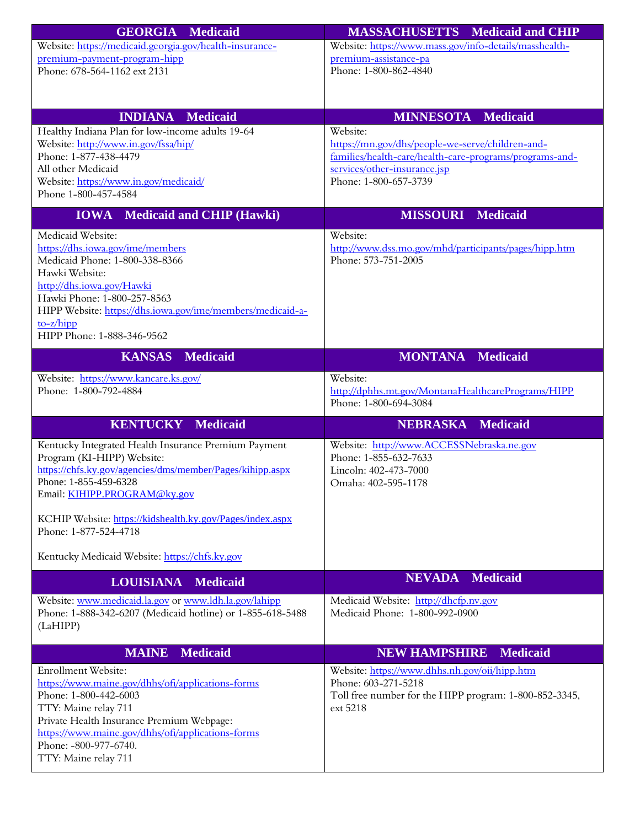| <b>GEORGIA Medicaid</b>                                                                        | <b>MASSACHUSETTS</b> Medicaid and CHIP                       |
|------------------------------------------------------------------------------------------------|--------------------------------------------------------------|
| Website: https://medicaid.georgia.gov/health-insurance-                                        | Website: https://www.mass.gov/info-details/masshealth-       |
| premium-payment-program-hipp                                                                   | premium-assistance-pa                                        |
| Phone: 678-564-1162 ext 2131                                                                   | Phone: 1-800-862-4840                                        |
|                                                                                                |                                                              |
|                                                                                                |                                                              |
| <b>INDIANA</b><br>Medicaid                                                                     | <b>MINNESOTA</b><br><b>Medicaid</b>                          |
| Healthy Indiana Plan for low-income adults 19-64<br>Website: http://www.in.gov/fssa/hip/       | Website:<br>https://mn.gov/dhs/people-we-serve/children-and- |
| Phone: 1-877-438-4479                                                                          | families/health-care/health-care-programs/programs-and-      |
| All other Medicaid                                                                             | services/other-insurance.jsp                                 |
| Website: https://www.in.gov/medicaid/                                                          | Phone: 1-800-657-3739                                        |
| Phone 1-800-457-4584                                                                           |                                                              |
| Medicaid and CHIP (Hawki)<br><b>IOWA</b>                                                       | <b>MISSOURI Medicaid</b>                                     |
| Medicaid Website:                                                                              | Website:                                                     |
| https://dhs.iowa.gov/ime/members                                                               | http://www.dss.mo.gov/mhd/participants/pages/hipp.htm        |
| Medicaid Phone: 1-800-338-8366                                                                 | Phone: 573-751-2005                                          |
| Hawki Website:<br>http://dhs.iowa.gov/Hawki                                                    |                                                              |
| Hawki Phone: 1-800-257-8563                                                                    |                                                              |
| HIPP Website: https://dhs.iowa.gov/ime/members/medicaid-a-                                     |                                                              |
| $to-z/hipp$                                                                                    |                                                              |
| HIPP Phone: 1-888-346-9562                                                                     |                                                              |
| <b>KANSAS Medicaid</b>                                                                         | <b>MONTANA Medicaid</b>                                      |
| Website: https://www.kancare.ks.gov/                                                           | Website:                                                     |
| Phone: 1-800-792-4884                                                                          | http://dphhs.mt.gov/MontanaHealthcarePrograms/HIPP           |
|                                                                                                | Phone: 1-800-694-3084                                        |
| <b>KENTUCKY</b><br><b>Medicaid</b>                                                             | <b>Medicaid</b><br><b>NEBRASKA</b>                           |
| Kentucky Integrated Health Insurance Premium Payment                                           | Website: http://www.ACCESSNebraska.ne.gov                    |
| Program (KI-HIPP) Website:                                                                     | Phone: 1-855-632-7633                                        |
| https://chfs.ky.gov/agencies/dms/member/Pages/kihipp.aspx                                      | Lincoln: 402-473-7000                                        |
| Phone: 1-855-459-6328<br>Email: KIHIPP.PROGRAM@ky.gov                                          | Omaha: 402-595-1178                                          |
|                                                                                                |                                                              |
| KCHIP Website: https://kidshealth.ky.gov/Pages/index.aspx                                      |                                                              |
| Phone: 1-877-524-4718                                                                          |                                                              |
| Kentucky Medicaid Website: https://chfs.ky.gov                                                 |                                                              |
|                                                                                                |                                                              |
| <b>LOUISIANA</b><br><b>Medicaid</b>                                                            | <b>Medicaid</b><br><b>NEVADA</b>                             |
| Website: www.medicaid.la.gov or www.ldh.la.gov/lahipp                                          | Medicaid Website: http://dhcfp.nv.gov                        |
| Phone: 1-888-342-6207 (Medicaid hotline) or 1-855-618-5488                                     | Medicaid Phone: 1-800-992-0900                               |
| (LaHIPP)                                                                                       |                                                              |
| <b>Medicaid</b><br><b>MAINE</b>                                                                | <b>NEW HAMPSHIRE</b><br><b>Medicaid</b>                      |
| Enrollment Website:                                                                            | Website: https://www.dhhs.nh.gov/oii/hipp.htm                |
| https://www.maine.gov/dhhs/ofi/applications-forms                                              | Phone: 603-271-5218                                          |
| Phone: 1-800-442-6003                                                                          | Toll free number for the HIPP program: 1-800-852-3345,       |
| TTY: Maine relay 711                                                                           | ext 5218                                                     |
| Private Health Insurance Premium Webpage:<br>https://www.maine.gov/dhhs/ofi/applications-forms |                                                              |
| Phone: -800-977-6740.                                                                          |                                                              |
| TTY: Maine relay 711                                                                           |                                                              |
|                                                                                                |                                                              |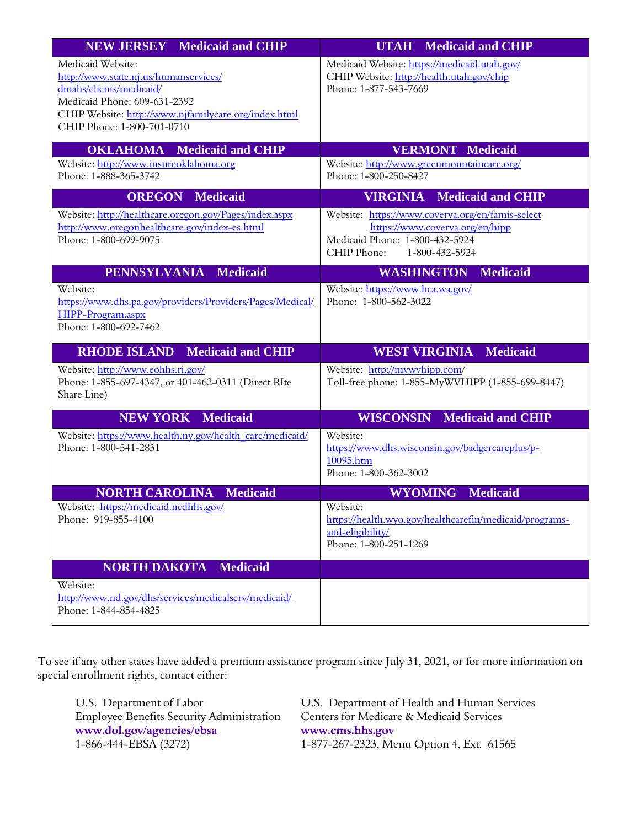| <b>NEW JERSEY</b> Medicaid and CHIP                                                                                                                                                                         | <b>UTAH</b> Medicaid and CHIP                                                                                                                       |
|-------------------------------------------------------------------------------------------------------------------------------------------------------------------------------------------------------------|-----------------------------------------------------------------------------------------------------------------------------------------------------|
| Medicaid Website:<br>http://www.state.nj.us/humanservices/<br>dmahs/clients/medicaid/<br>Medicaid Phone: 609-631-2392<br>CHIP Website: http://www.njfamilycare.org/index.html<br>CHIP Phone: 1-800-701-0710 | Medicaid Website: https://medicaid.utah.gov/<br>CHIP Website: http://health.utah.gov/chip<br>Phone: 1-877-543-7669                                  |
| <b>OKLAHOMA</b> Medicaid and CHIP                                                                                                                                                                           | <b>VERMONT Medicaid</b>                                                                                                                             |
| Website: http://www.insureoklahoma.org<br>Phone: 1-888-365-3742                                                                                                                                             | Website: http://www.greenmountaincare.org/<br>Phone: 1-800-250-8427                                                                                 |
| <b>OREGON</b> Medicaid                                                                                                                                                                                      | <b>VIRGINIA</b> Medicaid and CHIP                                                                                                                   |
| Website: http://healthcare.oregon.gov/Pages/index.aspx<br>http://www.oregonhealthcare.gov/index-es.html<br>Phone: 1-800-699-9075                                                                            | Website: https://www.coverva.org/en/famis-select<br>https://www.coverva.org/en/hipp<br>Medicaid Phone: 1-800-432-5924<br>CHIP Phone: 1-800-432-5924 |
| PENNSYLVANIA Medicaid                                                                                                                                                                                       | <b>WASHINGTON</b><br><b>Medicaid</b>                                                                                                                |
| Website:<br>https://www.dhs.pa.gov/providers/Providers/Pages/Medical/<br>HIPP-Program.aspx<br>Phone: 1-800-692-7462                                                                                         | Website: https://www.hca.wa.gov/<br>Phone: 1-800-562-3022                                                                                           |
| <b>RHODE ISLAND Medicaid and CHIP</b>                                                                                                                                                                       | <b>WEST VIRGINIA Medicaid</b>                                                                                                                       |
| Website: http://www.eohhs.ri.gov/<br>Phone: 1-855-697-4347, or 401-462-0311 (Direct RIte<br>Share Line)                                                                                                     | Website: http://mywvhipp.com/<br>Toll-free phone: 1-855-MyWVHIPP (1-855-699-8447)                                                                   |
| <b>NEW YORK Medicaid</b>                                                                                                                                                                                    | <b>WISCONSIN</b> Medicaid and CHIP                                                                                                                  |
| Website: https://www.health.ny.gov/health_care/medicaid/<br>Phone: 1-800-541-2831                                                                                                                           | Website:<br>https://www.dhs.wisconsin.gov/badgercareplus/p-<br>10095.htm<br>Phone: 1-800-362-3002                                                   |
| <b>NORTH CAROLINA Medicaid</b>                                                                                                                                                                              | <b>Medicaid</b><br><b>WYOMING</b>                                                                                                                   |
| Website: https://medicaid.ncdhhs.gov/<br>Phone: 919-855-4100                                                                                                                                                | Website:<br>https://health.wyo.gov/healthcarefin/medicaid/programs-<br>and-eligibility/<br>Phone: 1-800-251-1269                                    |
| <b>NORTH DAKOTA</b><br><b>Medicaid</b>                                                                                                                                                                      |                                                                                                                                                     |
| Website:<br>http://www.nd.gov/dhs/services/medicalserv/medicaid/<br>Phone: 1-844-854-4825                                                                                                                   |                                                                                                                                                     |

 To see if any other states have added a premium assistance program since July 31, 2021, or for more information on special enrollment rights, contact either:

 **www.dol.gov/agencies/ebsa www.cms.hhs.gov**  1-866-444-EBSA (3272) Employee Benefits Security Administration Centers for Medicar<br>www.dol.gov/agencies/ebsa www.cms.hhs.gov

U.S. Department of Labor U.S. Department of Health and Human Services<br>Employee Benefits Security Administration Centers for Medicare & Medicaid Services 1-877-267-2323, Menu Option 4, Ext. 61565